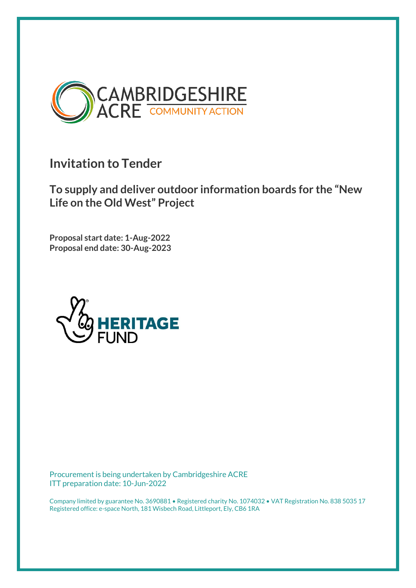

**Invitation to Tender**

**To supply and deliver outdoor information boards for the "New Life on the Old West" Project**

**Proposal start date: 1-Aug-2022 Proposal end date: 30-Aug-2023**



Procurement is being undertaken by Cambridgeshire ACRE ITT preparation date: 10-Jun-2022

Company limited by guarantee No. 3690881 • Registered charity No. 1074032 • VAT Registration No. 838 5035 17 Registered office: e-space North, 181 Wisbech Road, Littleport, Ely, CB6 1RA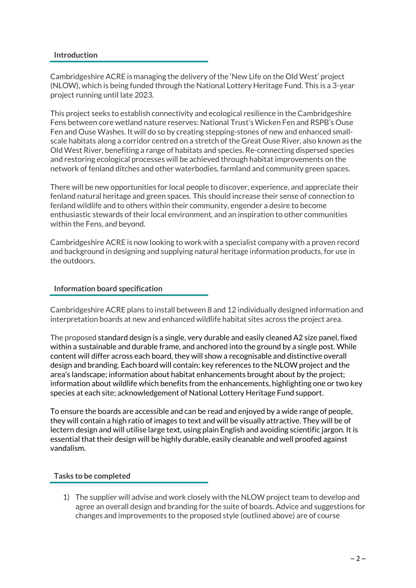### **Introduction**

Cambridgeshire ACRE is managing the delivery of the 'New Life on the Old West' project (NLOW), which is being funded through the National Lottery Heritage Fund. This is a 3-year project running until late 2023.

This project seeks to establish connectivity and ecological resilience in the Cambridgeshire Fens between core wetland nature reserves: National Trust's Wicken Fen and RSPB's Ouse Fen and Ouse Washes. It will do so by creating stepping-stones of new and enhanced smallscale habitats along a corridor centred on a stretch of the Great Ouse River, also known as the Old West River, benefiting a range of habitats and species. Re-connecting dispersed species and restoring ecological processes will be achieved through habitat improvements on the network of fenland ditches and other waterbodies, farmland and community green spaces.

There will be new opportunities for local people to discover, experience, and appreciate their fenland natural heritage and green spaces. This should increase their sense of connection to fenland wildlife and to others within their community, engender a desire to become enthusiastic stewards of their local environment, and an inspiration to other communities within the Fens, and beyond.

Cambridgeshire ACRE is now looking to work with a specialist company with a proven record and background in designing and supplying natural heritage information products, for use in the outdoors.

### **Information board specification**

Cambridgeshire ACRE plans to install between 8 and 12 individually designed information and interpretation boards at new and enhanced wildlife habitat sites across the project area.

The proposed standard design is a single, very durable and easily cleaned A2 size panel, fixed within a sustainable and durable frame, and anchored into the ground by a single post. While content will differ across each board, they will show a recognisable and distinctive overall design and branding. Each board will contain: key references to the NLOW project and the area's landscape; information about habitat enhancements brought about by the project; information about wildlife which benefits from the enhancements, highlighting one or two key species at each site; acknowledgement of National Lottery Heritage Fund support.

To ensure the boards are accessible and can be read and enjoyed by a wide range of people, they will contain a high ratio of images to text and will be visually attractive. They will be of lectern design and will utilise large text, using plain English and avoiding scientific jargon. It is essential that their design will be highly durable, easily cleanable and well proofed against vandalism.

### **Tasks to be completed**

1) The supplier will advise and work closely with the NLOW project team to develop and agree an overall design and branding for the suite of boards. Advice and suggestions for changes and improvements to the proposed style (outlined above) are of course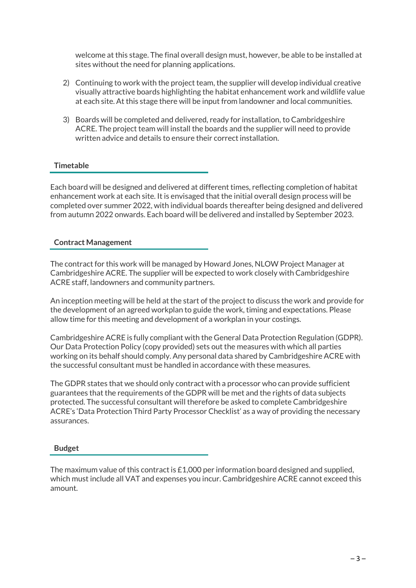welcome at this stage. The final overall design must, however, be able to be installed at sites without the need for planning applications.

- 2) Continuing to work with the project team, the supplier will develop individual creative visually attractive boards highlighting the habitat enhancement work and wildlife value at each site. At this stage there will be input from landowner and local communities.
- 3) Boards will be completed and delivered, ready for installation, to Cambridgeshire ACRE. The project team will install the boards and the supplier will need to provide written advice and details to ensure their correct installation.

# **Timetable**

Each board will be designed and delivered at different times, reflecting completion of habitat enhancement work at each site. It is envisaged that the initial overall design process will be completed over summer 2022, with individual boards thereafter being designed and delivered from autumn 2022 onwards. Each board will be delivered and installed by September 2023.

### **Contract Management**

The contract for this work will be managed by Howard Jones, NLOW Project Manager at Cambridgeshire ACRE. The supplier will be expected to work closely with Cambridgeshire ACRE staff, landowners and community partners.

An inception meeting will be held at the start of the project to discuss the work and provide for the development of an agreed workplan to guide the work, timing and expectations. Please allow time for this meeting and development of a workplan in your costings.

Cambridgeshire ACRE is fully compliant with the General Data Protection Regulation (GDPR). Our Data Protection Policy (copy provided) sets out the measures with which all parties working on its behalf should comply. Any personal data shared by Cambridgeshire ACRE with the successful consultant must be handled in accordance with these measures.

The GDPR states that we should only contract with a processor who can provide sufficient guarantees that the requirements of the GDPR will be met and the rights of data subjects protected. The successful consultant will therefore be asked to complete Cambridgeshire ACRE's 'Data Protection Third Party Processor Checklist' as a way of providing the necessary assurances.

### **Budget**

The maximum value of this contract is £1,000 per information board designed and supplied, which must include all VAT and expenses you incur. Cambridgeshire ACRE cannot exceed this amount.